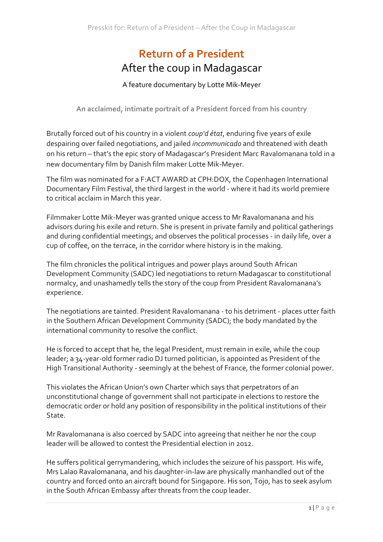# **Return of a President** After the coup in Madagascar

# A feature documentary by Lotte Mik-Meyer

An acclaimed, intimate portrait of a President forced from his country

Brutally forced out of his country in a violent *coup'd état*, enduring five years of exile despairing over failed negotiations, and jailed *incommunicado* and threatened with death on his return – that's the epic story of Madagascar's President Marc Ravalomanana told in a new documentary film by Danish film maker Lotte Mik-Meyer.

The film was nominated for a F:ACT AWARD at CPH:DOX, the Copenhagen International Documentary Film Festival, the third largest in the world - where it had its world premiere to critical acclaim in March this year.

Filmmaker Lotte Mik-Meyer was granted unique access to Mr Ravalomanana and his advisors during his exile and return. She is present in private family and political gatherings and during confidential meetings; and observes the political processes - in daily life, over a cup of coffee, on the terrace, in the corridor where history is in the making.

The film chronicles the political intrigues and power plays around South African Development Community (SADC) led negotiations to return Madagascar to constitutional normalcy, and unashamedly tells the story of the coup from President Ravalomanana's experience.

The negotiations are tainted. President Ravalomanana - to his detriment - places utter faith in the Southern African Development Community (SADC); the body mandated by the international community to resolve the conflict.

He is forced to accept that he, the legal President, must remain in exile, while the coup leader; a 34-year-old former radio DJ turned politician, is appointed as President of the High Transitional Authority - seemingly at the behest of France, the former colonial power.

This violates the African Union's own Charter which says that perpetrators of an unconstitutional change of government shall not participate in elections to restore the democratic order or hold any position of responsibility in the political institutions of their State.

Mr Ravalomanana is also coerced by SADC into agreeing that neither he nor the coup leader will be allowed to contest the Presidential election in 2012.

He suffers political gerrymandering, which includes the seizure of his passport. His wife, Mrs Lalao Ravalomanana, and his daughter-in-law are physically manhandled out of the country and forced onto an aircraft bound for Singapore. His son, Tojo, has to seek asylum in the South African Embassy after threats from the coup leader.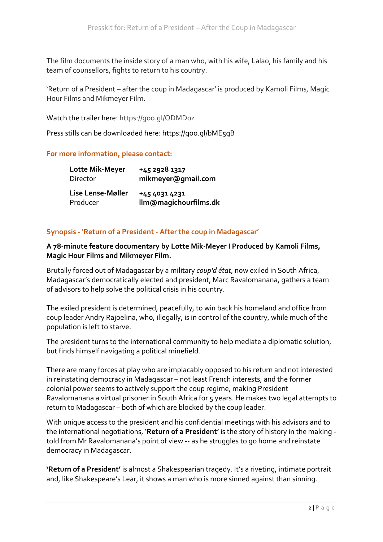The film documents the inside story of a man who, with his wife, Lalao, his family and his team of counsellors, fights to return to his country.

'Return of a President – after the coup in Madagascar' is produced by Kamoli Films, Magic Hour Films and Mikmeyer Film.

Watch the trailer here: https://goo.gl/QDMDoz

Press stills can be downloaded here: https://goo.gl/bME5gB

## **For more information, please contact:**

| Lotte Mik-Meyer   | +45 2928 1317         |
|-------------------|-----------------------|
| Director          | mikmeyer@gmail.com    |
| Lise Lense-Møller | +45 4031 4231         |
| Producer          | Ilm@magichourfilms.dk |

# **Synopsis -** '**Return of a President - After the coup in Madagascar'**

## A 78-minute feature documentary by Lotte Mik-Meyer I Produced by Kamoli Films, **Magic Hour Films and Mikmeyer Film.**

Brutally forced out of Madagascar by a military *coup'd état*, now exiled in South Africa, Madagascar's democratically elected and president, Marc Ravalomanana, gathers a team of advisors to help solve the political crisis in his country.

The exiled president is determined, peacefully, to win back his homeland and office from coup leader Andry Rajoelina, who, illegally, is in control of the country, while much of the population is left to starve.

The president turns to the international community to help mediate a diplomatic solution, but finds himself navigating a political minefield.

There are many forces at play who are implacably opposed to his return and not interested in reinstating democracy in Madagascar – not least French interests, and the former colonial power seems to actively support the coup regime, making President Ravalomanana a virtual prisoner in South Africa for 5 years. He makes two legal attempts to return to Madagascar - both of which are blocked by the coup leader.

With unique access to the president and his confidential meetings with his advisors and to the international negotiations, 'Return of a President' is the story of history in the making told from Mr Ravalomanana's point of view -- as he struggles to go home and reinstate democracy in Madagascar.

'Return of a President' is almost a Shakespearian tragedy. It's a riveting, intimate portrait and, like Shakespeare's Lear, it shows a man who is more sinned against than sinning.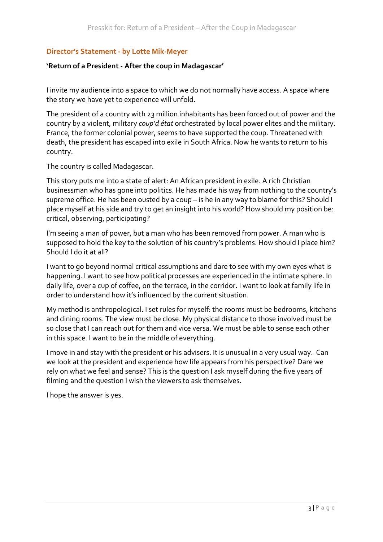# **Director's Statement - by Lotte Mik-Meyer**

## 'Return of a President - After the coup in Madagascar'

I invite my audience into a space to which we do not normally have access. A space where the story we have yet to experience will unfold.

The president of a country with 23 million inhabitants has been forced out of power and the country by a violent, military *coup'd état* orchestrated by local power elites and the military. France, the former colonial power, seems to have supported the coup. Threatened with death, the president has escaped into exile in South Africa. Now he wants to return to his country. 

The country is called Madagascar.

This story puts me into a state of alert: An African president in exile. A rich Christian businessman who has gone into politics. He has made his way from nothing to the country's supreme office. He has been ousted by a coup – is he in any way to blame for this? Should I place myself at his side and try to get an insight into his world? How should my position be: critical, observing, participating?

I'm seeing a man of power, but a man who has been removed from power. A man who is supposed to hold the key to the solution of his country's problems. How should I place him? Should I do it at all?

I want to go beyond normal critical assumptions and dare to see with my own eyes what is happening. I want to see how political processes are experienced in the intimate sphere. In daily life, over a cup of coffee, on the terrace, in the corridor. I want to look at family life in order to understand how it's influenced by the current situation.

My method is anthropological. I set rules for myself: the rooms must be bedrooms, kitchens and dining rooms. The view must be close. My physical distance to those involved must be so close that I can reach out for them and vice versa. We must be able to sense each other in this space. I want to be in the middle of everything.

I move in and stay with the president or his advisers. It is unusual in a very usual way. Can we look at the president and experience how life appears from his perspective? Dare we rely on what we feel and sense? This is the question I ask myself during the five years of filming and the question I wish the viewers to ask themselves.

I hope the answer is yes.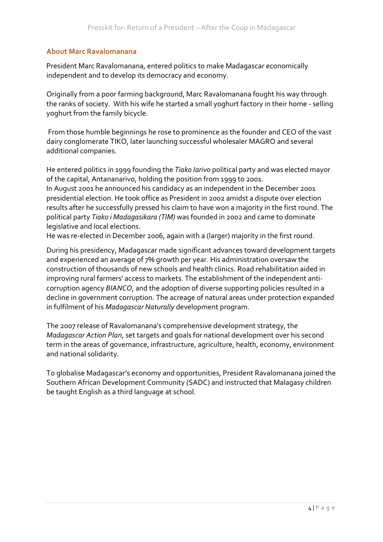## **About Marc Ravalomanana**

President Marc Ravalomanana, entered politics to make Madagascar economically independent and to develop its democracy and economy.

Originally from a poor farming background, Marc Ravalomanana fought his way through the ranks of society. With his wife he started a small yoghurt factory in their home - selling yoghurt from the family bicycle.

From those humble beginnings he rose to prominence as the founder and CEO of the vast dairy conglomerate TIKO, later launching successful wholesaler MAGRO and several additional companies.

He entered politics in 1999 founding the *Tiako Iarivo* political party and was elected mayor of the capital, Antananarivo, holding the position from 1999 to 2001. In August 2001 he announced his candidacy as an independent in the December 2001 presidential election. He took office as President in 2002 amidst a dispute over election results after he successfully pressed his claim to have won a majority in the first round. The political party *Tiako i Madagasikara* (TIM) was founded in 2002 and came to dominate legislative and local elections.

He was re-elected in December 2006, again with a (larger) majority in the first round.

During his presidency, Madagascar made significant advances toward development targets and experienced an average of 7% growth per year. His administration oversaw the construction of thousands of new schools and health clinics. Road rehabilitation aided in improving rural farmers' access to markets. The establishment of the independent anticorruption agency *BIANCO*, and the adoption of diverse supporting policies resulted in a decline in government corruption. The acreage of natural areas under protection expanded in fulfilment of his *Madagascar Naturally* development program.

The 2007 release of Ravalomanana's comprehensive development strategy, the *Madagascar Action Plan,* set targets and goals for national development over his second term in the areas of governance, infrastructure, agriculture, health, economy, environment and national solidarity.

To globalise Madagascar's economy and opportunities, President Ravalomanana joined the Southern African Development Community (SADC) and instructed that Malagasy children be taught English as a third language at school.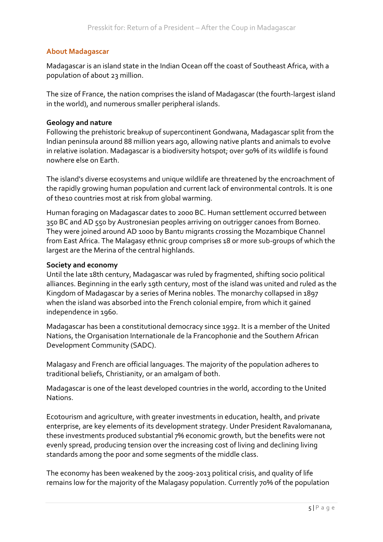## **About Madagascar**

Madagascar is an island state in the Indian Ocean off the coast of Southeast Africa, with a population of about 23 million.

The size of France, the nation comprises the island of Madagascar (the fourth-largest island in the world), and numerous smaller peripheral islands.

## **Geology and nature**

Following the prehistoric breakup of supercontinent Gondwana, Madagascar split from the Indian peninsula around 88 million years ago, allowing native plants and animals to evolve in relative isolation. Madagascar is a biodiversity hotspot; over 90% of its wildlife is found nowhere else on Earth.

The island's diverse ecosystems and unique wildlife are threatened by the encroachment of the rapidly growing human population and current lack of environmental controls. It is one of the10 countries most at risk from global warming.

Human foraging on Madagascar dates to 2000 BC. Human settlement occurred between 350 BC and AD 550 by Austronesian peoples arriving on outrigger canoes from Borneo. They were joined around AD 1000 by Bantu migrants crossing the Mozambique Channel from East Africa. The Malagasy ethnic group comprises 18 or more sub-groups of which the largest are the Merina of the central highlands.

#### **Society and economy**

Until the late 18th century, Madagascar was ruled by fragmented, shifting socio political alliances. Beginning in the early 19th century, most of the island was united and ruled as the Kingdom of Madagascar by a series of Merina nobles. The monarchy collapsed in 1897 when the island was absorbed into the French colonial empire, from which it gained independence in 1960.

Madagascar has been a constitutional democracy since 1992. It is a member of the United Nations, the Organisation Internationale de la Francophonie and the Southern African Development Community (SADC).

Malagasy and French are official languages. The majority of the population adheres to traditional beliefs, Christianity, or an amalgam of both.

Madagascar is one of the least developed countries in the world, according to the United Nations.

Ecotourism and agriculture, with greater investments in education, health, and private enterprise, are key elements of its development strategy. Under President Ravalomanana, these investments produced substantial 7% economic growth, but the benefits were not evenly spread, producing tension over the increasing cost of living and declining living standards among the poor and some segments of the middle class.

The economy has been weakened by the 2009-2013 political crisis, and quality of life remains low for the majority of the Malagasy population. Currently 70% of the population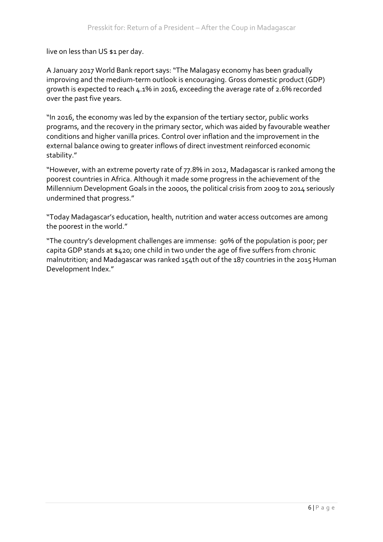live on less than US \$1 per day.

A January 2017 World Bank report says: "The Malagasy economy has been gradually improving and the medium-term outlook is encouraging. Gross domestic product (GDP) growth is expected to reach  $4.1\%$  in 2016, exceeding the average rate of 2.6% recorded over the past five years.

"In 2016, the economy was led by the expansion of the tertiary sector, public works programs, and the recovery in the primary sector, which was aided by favourable weather conditions and higher vanilla prices. Control over inflation and the improvement in the external balance owing to greater inflows of direct investment reinforced economic stability."

"However, with an extreme poverty rate of 77.8% in 2012, Madagascar is ranked among the poorest countries in Africa. Although it made some progress in the achievement of the Millennium Development Goals in the 2000s, the political crisis from 2009 to 2014 seriously undermined that progress."

"Today Madagascar's education, health, nutrition and water access outcomes are among the poorest in the world."

"The country's development challenges are immense: 90% of the population is poor; per capita GDP stands at  $$420$ ; one child in two under the age of five suffers from chronic malnutrition; and Madagascar was ranked 154th out of the 187 countries in the 2015 Human Development Index."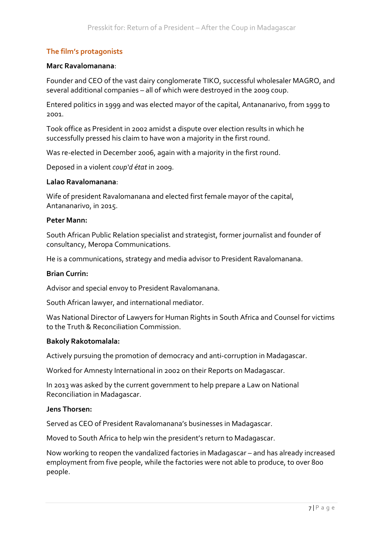# **The film's protagonists**

#### **Marc Ravalomanana**:

Founder and CEO of the vast dairy conglomerate TIKO, successful wholesaler MAGRO, and several additional companies – all of which were destroyed in the 2009 coup.

Entered politics in 1999 and was elected mayor of the capital, Antananarivo, from 1999 to 2001. 

Took office as President in 2002 amidst a dispute over election results in which he successfully pressed his claim to have won a majority in the first round.

Was re-elected in December 2006, again with a majority in the first round.

Deposed in a violent *coup'd état* in 2009.

#### **Lalao Ravalomanana**:

Wife of president Ravalomanana and elected first female mayor of the capital, Antananarivo, in 2015.

#### **Peter Mann:**

South African Public Relation specialist and strategist, former journalist and founder of consultancy, Meropa Communications.

He is a communications, strategy and media advisor to President Ravalomanana.

#### **Brian Currin:**

Advisor and special envoy to President Ravalomanana.

South African lawyer, and international mediator.

Was National Director of Lawyers for Human Rights in South Africa and Counsel for victims to the Truth & Reconciliation Commission.

#### **Bakoly Rakotomalala:**

Actively pursuing the promotion of democracy and anti-corruption in Madagascar.

Worked for Amnesty International in 2002 on their Reports on Madagascar.

In 2013 was asked by the current government to help prepare a Law on National Reconciliation in Madagascar.

#### **Jens Thorsen:**

Served as CEO of President Ravalomanana's businesses in Madagascar.

Moved to South Africa to help win the president's return to Madagascar.

Now working to reopen the vandalized factories in Madagascar – and has already increased employment from five people, while the factories were not able to produce, to over 800 people.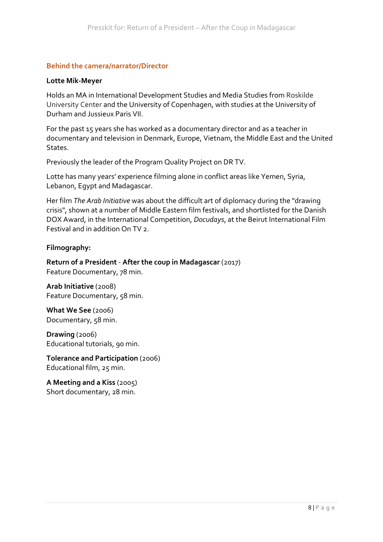## **Behind the camera/narrator/Director**

#### **Lotte Mik-Meyer**

Holds an MA in International Development Studies and Media Studies from Roskilde University Center and the University of Copenhagen, with studies at the University of Durham and Jussieux Paris VII. 

For the past 15 years she has worked as a documentary director and as a teacher in documentary and television in Denmark, Europe, Vietnam, the Middle East and the United States. 

Previously the leader of the Program Quality Project on DR TV.

Lotte has many years' experience filming alone in conflict areas like Yemen, Syria, Lebanon, Egypt and Madagascar.

Her film *The Arab Initiative* was about the difficult art of diplomacy during the "drawing crisis", shown at a number of Middle Eastern film festivals, and shortlisted for the Danish DOX Award, in the International Competition, *Docudays*, at the Beirut International Film Festival and in addition On TV 2.

## **Filmography:**

**Return of a President - After the coup in Madagascar** (2017) Feature Documentary, 78 min.

**Arab Initiative** (2008) Feature Documentary, 58 min.

**What We See** (2006) Documentary, 58 min.

**Drawing** (2006) Educational tutorials, 90 min.

**Tolerance and Participation** (2006) Educational film, 25 min.

**A Meeting and a Kiss** (2005) Short documentary, 28 min.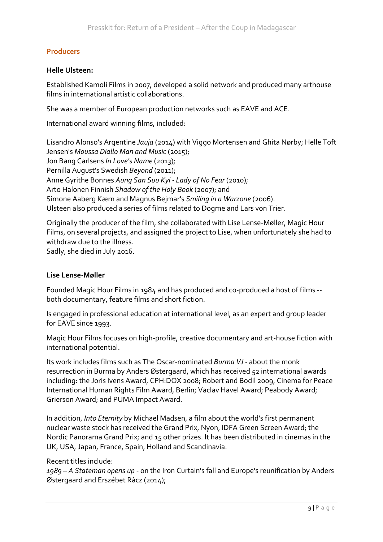# **Producers**

## **Helle Ulsteen:**

Established Kamoli Films in 2007, developed a solid network and produced many arthouse films in international artistic collaborations.

She was a member of European production networks such as EAVE and ACE.

International award winning films, included:

Lisandro Alonso's Argentine *Jauja* (2014) with Viggo Mortensen and Ghita Nørby; Helle Toft Jensen's *Moussa Diallo Man and Music* (2015); Jon Bang Carlsens *In Love's Name* (2013); Pernilla August's Swedish *Beyond* (2011); Anne Gyrithe Bonnes Aung San Suu Kyi - Lady of No Fear (2010); Arto Halonen Finnish Shadow of the Holy Book (2007); and Simone Aaberg Kærn and Magnus Bejmar's *Smiling in a Warzone* (2006). Ulsteen also produced a series of films related to Dogme and Lars von Trier.

Originally the producer of the film, she collaborated with Lise Lense-Møller, Magic Hour Films, on several projects, and assigned the project to Lise, when unfortunately she had to withdraw due to the illness.

Sadly, she died in July 2016.

#### **Lise Lense-Møller**

Founded Magic Hour Films in 1984 and has produced and co-produced a host of films -both documentary, feature films and short fiction.

Is engaged in professional education at international level, as an expert and group leader for EAVE since 1993.

Magic Hour Films focuses on high-profile, creative documentary and art-house fiction with international potential.

Its work includes films such as The Oscar-nominated *Burma VJ* - about the monk resurrection in Burma by Anders Østergaard, which has received 52 international awards including: the Joris Ivens Award, CPH:DOX 2008; Robert and Bodil 2009, Cinema for Peace International Human Rights Film Award, Berlin; Vaclav Havel Award; Peabody Award; Grierson Award; and PUMA Impact Award.

In addition, *Into Eternity* by Michael Madsen, a film about the world's first permanent nuclear waste stock has received the Grand Prix, Nyon, IDFA Green Screen Award; the Nordic Panorama Grand Prix; and 15 other prizes. It has been distributed in cinemas in the UK, USA, Japan, France, Spain, Holland and Scandinavia.

Recent titles include:

1989 – A Stateman opens up - on the Iron Curtain's fall and Europe's reunification by Anders Østergaard and Erszébet Ràcz (2014);